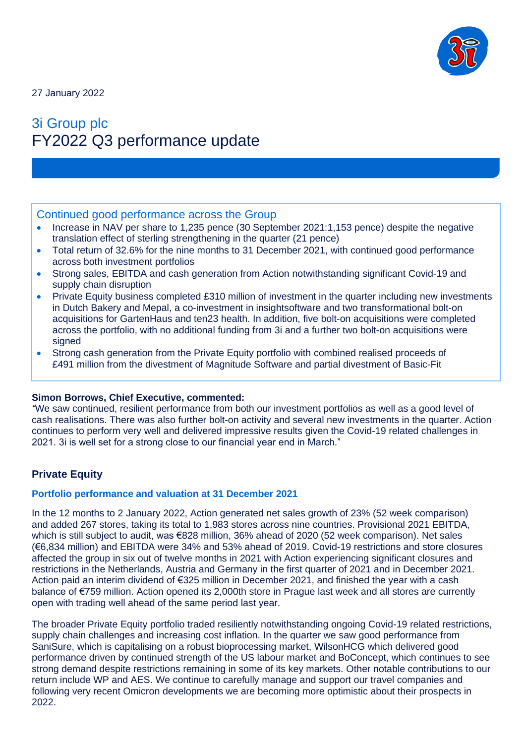

27 January 2022

# 3i Group plc FY2022 Q3 performance update

# Continued good performance across the Group

- Increase in NAV per share to 1,235 pence (30 September 2021:1,153 pence) despite the negative translation effect of sterling strengthening in the quarter (21 pence)
- Total return of 32.6% for the nine months to 31 December 2021, with continued good performance across both investment portfolios
- Strong sales, EBITDA and cash generation from Action notwithstanding significant Covid-19 and supply chain disruption
- Private Equity business completed £310 million of investment in the quarter including new investments in Dutch Bakery and Mepal, a co-investment in insightsoftware and two transformational bolt-on acquisitions for GartenHaus and ten23 health. In addition, five bolt-on acquisitions were completed across the portfolio, with no additional funding from 3i and a further two bolt-on acquisitions were signed
- Strong cash generation from the Private Equity portfolio with combined realised proceeds of £491 million from the divestment of Magnitude Software and partial divestment of Basic-Fit

#### **Simon Borrows, Chief Executive, commented:**

*"*We saw continued, resilient performance from both our investment portfolios as well as a good level of cash realisations. There was also further bolt-on activity and several new investments in the quarter. Action continues to perform very well and delivered impressive results given the Covid-19 related challenges in 2021. 3i is well set for a strong close to our financial year end in March."

# **Private Equity**

#### **Portfolio performance and valuation at 31 December 2021**

In the 12 months to 2 January 2022, Action generated net sales growth of 23% (52 week comparison) and added 267 stores, taking its total to 1,983 stores across nine countries. Provisional 2021 EBITDA, which is still subject to audit, was €828 million, 36% ahead of 2020 (52 week comparison). Net sales (€6,834 million) and EBITDA were 34% and 53% ahead of 2019. Covid-19 restrictions and store closures affected the group in six out of twelve months in 2021 with Action experiencing significant closures and restrictions in the Netherlands, Austria and Germany in the first quarter of 2021 and in December 2021. Action paid an interim dividend of €325 million in December 2021, and finished the year with a cash balance of €759 million. Action opened its 2,000th store in Prague last week and all stores are currently open with trading well ahead of the same period last year.

The broader Private Equity portfolio traded resiliently notwithstanding ongoing Covid-19 related restrictions, supply chain challenges and increasing cost inflation. In the quarter we saw good performance from SaniSure, which is capitalising on a robust bioprocessing market, WilsonHCG which delivered good performance driven by continued strength of the US labour market and BoConcept, which continues to see strong demand despite restrictions remaining in some of its key markets. Other notable contributions to our return include WP and AES. We continue to carefully manage and support our travel companies and following very recent Omicron developments we are becoming more optimistic about their prospects in 2022.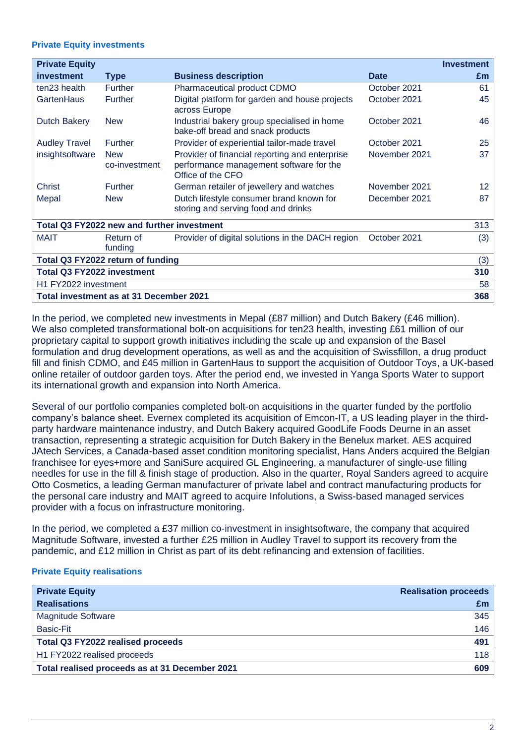#### **Private Equity investments**

| <b>Private Equity</b>                      |                             |                                                                                                                |               | <b>Investment</b> |  |  |
|--------------------------------------------|-----------------------------|----------------------------------------------------------------------------------------------------------------|---------------|-------------------|--|--|
| investment                                 | <b>Type</b>                 | <b>Business description</b>                                                                                    | <b>Date</b>   | £m                |  |  |
| ten23 health                               | <b>Further</b>              | Pharmaceutical product CDMO                                                                                    | October 2021  | 61                |  |  |
| GartenHaus                                 | Further                     | Digital platform for garden and house projects<br>across Europe                                                | October 2021  | 45                |  |  |
| <b>Dutch Bakery</b>                        | <b>New</b>                  | Industrial bakery group specialised in home<br>bake-off bread and snack products                               | October 2021  | 46                |  |  |
| <b>Audley Travel</b>                       | <b>Further</b>              | Provider of experiential tailor-made travel                                                                    | October 2021  | 25                |  |  |
| insightsoftware                            | <b>New</b><br>co-investment | Provider of financial reporting and enterprise<br>performance management software for the<br>Office of the CFO | November 2021 | 37                |  |  |
| <b>Christ</b>                              | <b>Further</b>              | German retailer of jewellery and watches                                                                       | November 2021 | 12 <sup>2</sup>   |  |  |
| Mepal                                      | <b>New</b>                  | Dutch lifestyle consumer brand known for<br>storing and serving food and drinks                                | December 2021 | 87                |  |  |
| Total Q3 FY2022 new and further investment |                             |                                                                                                                |               |                   |  |  |
| <b>MAIT</b>                                | Return of<br>funding        | Provider of digital solutions in the DACH region                                                               | October 2021  | (3)               |  |  |
| Total Q3 FY2022 return of funding          |                             |                                                                                                                |               |                   |  |  |
| <b>Total Q3 FY2022 investment</b>          |                             |                                                                                                                |               |                   |  |  |
| H1 FY2022 investment                       |                             |                                                                                                                |               |                   |  |  |
| Total investment as at 31 December 2021    |                             |                                                                                                                |               |                   |  |  |

In the period, we completed new investments in Mepal (£87 million) and Dutch Bakery (£46 million). We also completed transformational bolt-on acquisitions for ten23 health, investing £61 million of our proprietary capital to support growth initiatives including the scale up and expansion of the Basel formulation and drug development operations, as well as and the acquisition of Swissfillon, a drug product fill and finish CDMO, and £45 million in GartenHaus to support the acquisition of Outdoor Toys, a UK-based online retailer of outdoor garden toys. After the period end, we invested in Yanga Sports Water to support its international growth and expansion into North America.

Several of our portfolio companies completed bolt-on acquisitions in the quarter funded by the portfolio company's balance sheet. Evernex completed its acquisition of Emcon-IT, a US leading player in the thirdparty hardware maintenance industry, and Dutch Bakery acquired GoodLife Foods Deurne in an asset transaction, representing a strategic acquisition for Dutch Bakery in the Benelux market. AES acquired JAtech Services, a Canada-based asset condition monitoring specialist, Hans Anders acquired the Belgian franchisee for eyes+more and SaniSure acquired GL Engineering, a manufacturer of single-use filling needles for use in the fill & finish stage of production. Also in the quarter, Royal Sanders agreed to acquire Otto Cosmetics, a leading German manufacturer of private label and contract manufacturing products for the personal care industry and MAIT agreed to acquire Infolutions, a Swiss-based managed services provider with a focus on infrastructure monitoring.

In the period, we completed a £37 million co-investment in insightsoftware, the company that acquired Magnitude Software, invested a further £25 million in Audley Travel to support its recovery from the pandemic, and £12 million in Christ as part of its debt refinancing and extension of facilities.

#### **Private Equity realisations**

| <b>Private Equity</b>                          | <b>Realisation proceeds</b> |  |
|------------------------------------------------|-----------------------------|--|
| <b>Realisations</b>                            | Em                          |  |
| <b>Magnitude Software</b>                      | 345                         |  |
| Basic-Fit                                      | 146                         |  |
| Total Q3 FY2022 realised proceeds              | 491                         |  |
| H1 FY2022 realised proceeds                    | 118                         |  |
| Total realised proceeds as at 31 December 2021 | 609                         |  |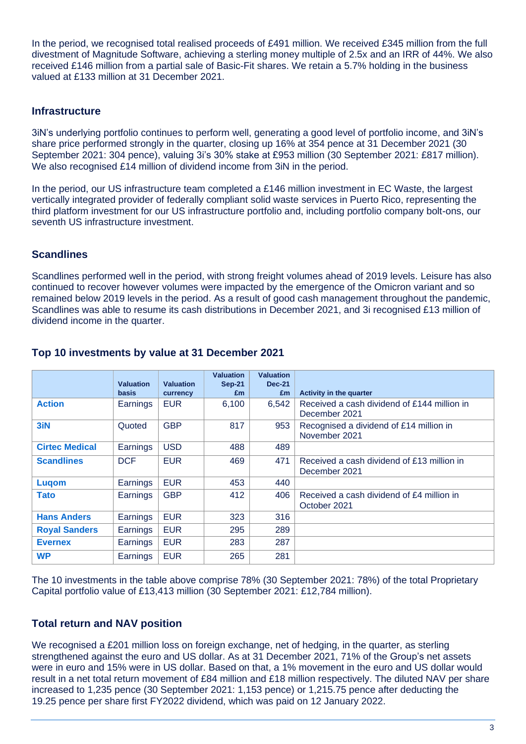In the period, we recognised total realised proceeds of £491 million. We received £345 million from the full divestment of Magnitude Software, achieving a sterling money multiple of 2.5x and an IRR of 44%. We also received £146 million from a partial sale of Basic-Fit shares. We retain a 5.7% holding in the business valued at £133 million at 31 December 2021.

## **Infrastructure**

3iN's underlying portfolio continues to perform well, generating a good level of portfolio income, and 3iN's share price performed strongly in the quarter, closing up 16% at 354 pence at 31 December 2021 (30 September 2021: 304 pence), valuing 3i's 30% stake at £953 million (30 September 2021: £817 million). We also recognised £14 million of dividend income from 3iN in the period.

In the period, our US infrastructure team completed a £146 million investment in EC Waste, the largest vertically integrated provider of federally compliant solid waste services in Puerto Rico, representing the third platform investment for our US infrastructure portfolio and, including portfolio company bolt-ons, our seventh US infrastructure investment.

#### **Scandlines**

Scandlines performed well in the period, with strong freight volumes ahead of 2019 levels. Leisure has also continued to recover however volumes were impacted by the emergence of the Omicron variant and so remained below 2019 levels in the period. As a result of good cash management throughout the pandemic, Scandlines was able to resume its cash distributions in December 2021, and 3i recognised £13 million of dividend income in the quarter.

|                       |                  |                  | <b>Valuation</b> | <b>Valuation</b> |                                                              |
|-----------------------|------------------|------------------|------------------|------------------|--------------------------------------------------------------|
|                       | <b>Valuation</b> | <b>Valuation</b> | <b>Sep-21</b>    | <b>Dec-21</b>    |                                                              |
|                       | basis            | currency         | £m               | £m               | <b>Activity in the quarter</b>                               |
| <b>Action</b>         | Earnings         | <b>EUR</b>       | 6,100            | 6,542            | Received a cash dividend of £144 million in<br>December 2021 |
| 3iN                   | Quoted           | <b>GBP</b>       | 817              | 953              | Recognised a dividend of £14 million in<br>November 2021     |
| <b>Cirtec Medical</b> | Earnings         | <b>USD</b>       | 488              | 489              |                                                              |
| <b>Scandlines</b>     | <b>DCF</b>       | <b>EUR</b>       | 469              | 471              | Received a cash dividend of £13 million in<br>December 2021  |
| Lugom                 | Earnings         | <b>EUR</b>       | 453              | 440              |                                                              |
| <b>Tato</b>           | Earnings         | <b>GBP</b>       | 412              | 406              | Received a cash dividend of £4 million in<br>October 2021    |
| <b>Hans Anders</b>    | Earnings         | <b>EUR</b>       | 323              | 316              |                                                              |
| <b>Royal Sanders</b>  | Earnings         | <b>EUR</b>       | 295              | 289              |                                                              |
| <b>Evernex</b>        | Earnings         | <b>EUR</b>       | 283              | 287              |                                                              |
| <b>WP</b>             | Earnings         | <b>EUR</b>       | 265              | 281              |                                                              |

#### **Top 10 investments by value at 31 December 2021**

The 10 investments in the table above comprise 78% (30 September 2021: 78%) of the total Proprietary Capital portfolio value of £13,413 million (30 September 2021: £12,784 million).

# **Total return and NAV position**

We recognised a £201 million loss on foreign exchange, net of hedging, in the quarter, as sterling strengthened against the euro and US dollar. As at 31 December 2021, 71% of the Group's net assets were in euro and 15% were in US dollar. Based on that, a 1% movement in the euro and US dollar would result in a net total return movement of £84 million and £18 million respectively. The diluted NAV per share increased to 1,235 pence (30 September 2021: 1,153 pence) or 1,215.75 pence after deducting the 19.25 pence per share first FY2022 dividend, which was paid on 12 January 2022.